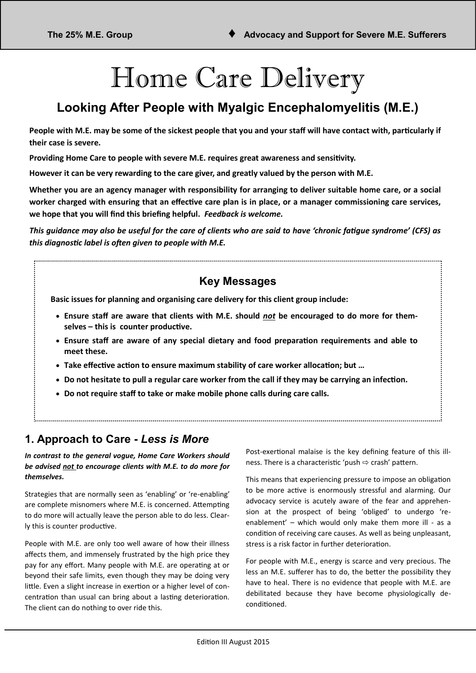# Home Care Delivery

# **Looking After People with Myalgic Encephalomyelitis (M.E.)**

**People with M.E. may be some of the sickest people that you and your staff will have contact with, particularly if their case is severe.**

**Providing Home Care to people with severe M.E. requires great awareness and sensitivity.** 

**However it can be very rewarding to the care giver, and greatly valued by the person with M.E.** 

**Whether you are an agency manager with responsibility for arranging to deliver suitable home care, or a social worker charged with ensuring that an effective care plan is in place, or a manager commissioning care services, we hope that you will find this briefing helpful.** *Feedback is welcome.*

*This guidance may also be useful for the care of clients who are said to have 'chronic fatigue syndrome' (CFS) as this diagnostic label is often given to people with M.E.* 

## **Key Messages**

**Basic issues for planning and organising care delivery for this client group include:**

- **Ensure staff are aware that clients with M.E. should** *not* **be encouraged to do more for themselves – this is counter productive.**
- **Ensure staff are aware of any special dietary and food preparation requirements and able to meet these.**
- **Take effective action to ensure maximum stability of care worker allocation; but …**
- **Do not hesitate to pull a regular care worker from the call if they may be carrying an infection.**
- **Do not require staff to take or make mobile phone calls during care calls.**

## **1. Approach to Care -** *Less is More*

*In contrast to the general vogue, Home Care Workers should be advised not to encourage clients with M.E. to do more for themselves.*

Strategies that are normally seen as 'enabling' or 're-enabling' are complete misnomers where M.E. is concerned. Attempting to do more will actually leave the person able to do less. Clearly this is counter productive.

People with M.E. are only too well aware of how their illness affects them, and immensely frustrated by the high price they pay for any effort. Many people with M.E. are operating at or beyond their safe limits, even though they may be doing very little. Even a slight increase in exertion or a higher level of concentration than usual can bring about a lasting deterioration. The client can do nothing to over ride this.

Post-exertional malaise is the key defining feature of this illness. There is a characteristic 'push  $\Rightarrow$  crash' pattern.

This means that experiencing pressure to impose an obligation to be more active is enormously stressful and alarming. Our advocacy service is acutely aware of the fear and apprehension at the prospect of being 'obliged' to undergo 'reenablement' – which would only make them more ill - as a condition of receiving care causes. As well as being unpleasant, stress is a risk factor in further deterioration.

For people with M.E., energy is scarce and very precious. The less an M.E. sufferer has to do, the better the possibility they have to heal. There is no evidence that people with M.E. are debilitated because they have become physiologically deconditioned.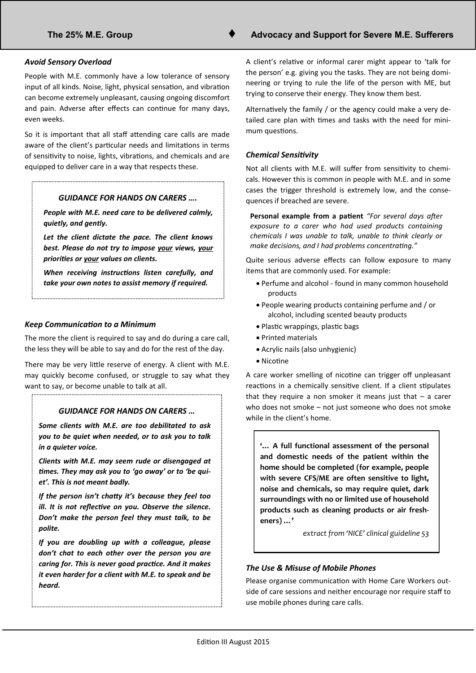#### *Avoid Sensory Overload*

People with M.E. commonly have a low tolerance of sensory input of all kinds. Noise, light, physical sensation, and vibration can become extremely unpleasant, causing ongoing discomfort and pain. Adverse after effects can continue for many days, even weeks.

So it is important that all staff attending care calls are made aware of the client's particular needs and limitations in terms of sensitivity to noise, lights, vibrations, and chemicals and are equipped to deliver care in a way that respects these.

#### *GUIDANCE FOR HANDS ON CARERS ….*

*People with M.E. need care to be delivered calmly, quietly, and gently.* 

*Let the client dictate the pace. The client knows best. Please do not try to impose your views, your priorities or your values on clients.* 

*When receiving instructions listen carefully, and take your own notes to assist memory if required.*

#### *Keep Communication to a Minimum*

The more the client is required to say and do during a care call, the less they will be able to say and do for the rest of the day.

There may be very little reserve of energy. A client with M.E. may quickly become confused, or struggle to say what they want to say, or become unable to talk at all.

#### *GUIDANCE FOR HANDS ON CARERS …*

*Some clients with M.E. are too debilitated to ask you to be quiet when needed, or to ask you to talk in a quieter voice.* 

*Clients with M.E. may seem rude or disengaged at times. They may ask you to 'go away' or to 'be quiet'. This is not meant badly.*

*If the person isn't chatty it's because they feel too ill. It is not reflective on you. Observe the silence. Don't make the person feel they must talk, to be polite.*

*If you are doubling up with a colleague, please don't chat to each other over the person you are caring for. This is never good practice. And it makes it even harder for a client with M.E. to speak and be heard.*

A client's relative or informal carer might appear to 'talk for the person' e.g. giving you the tasks. They are not being domineering or trying to rule the life of the person with ME, but trying to conserve their energy. They know them best.

Alternatively the family / or the agency could make a very detailed care plan with times and tasks with the need for minimum questions.

#### *Chemical Sensitivity*

Not all clients with M.E. will suffer from sensitivity to chemicals. However this is common in people with M.E. and in some cases the trigger threshold is extremely low, and the consequences if breached are severe.

**Personal example from a patient** *"For several days after exposure to a carer who had used products containing chemicals I was unable to talk, unable to think clearly or make decisions, and I had problems concentrating."*

Quite serious adverse effects can follow exposure to many items that are commonly used. For example:

- Perfume and alcohol found in many common household products
- People wearing products containing perfume and / or alcohol, including scented beauty products
- Plastic wrappings, plastic bags
- Printed materials
- Acrylic nails (also unhygienic)
- Nicotine

A care worker smelling of nicotine can trigger off unpleasant reactions in a chemically sensitive client. If a client stipulates that they require a non smoker it means just that  $-$  a carer who does not smoke – not just someone who does not smoke while in the client's home.

**'… A full functional assessment of the personal and domestic needs of the patient within the home should be completed (for example, people with severe CFS/ME are often sensitive to light, noise and chemicals, so may require quiet, dark surroundings with no or limited use of household products such as cleaning products or air fresheners) …'**

*extract from 'NICE' clinical guideline 53*

#### *The Use & Misuse of Mobile Phones*

Please organise communication with Home Care Workers outside of care sessions and neither encourage nor require staff to use mobile phones during care calls.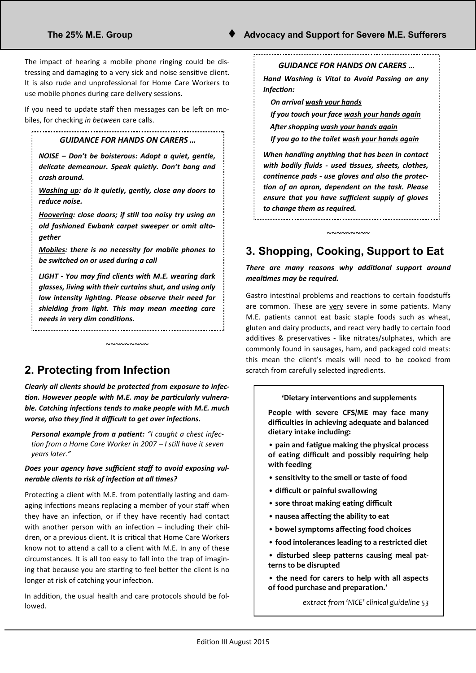The impact of hearing a mobile phone ringing could be distressing and damaging to a very sick and noise sensitive client. It is also rude and unprofessional for Home Care Workers to use mobile phones during care delivery sessions.

If you need to update staff then messages can be left on mobiles, for checking *in between* care calls.

#### *GUIDANCE FOR HANDS ON CARERS …*

*NOISE – Don't be boisterous: Adopt a quiet, gentle, delicate demeanour. Speak quietly. Don't bang and crash around.* 

*Washing up: do it quietly, gently, close any doors to reduce noise.*

*Hoovering: close doors; if still too noisy try using an old fashioned Ewbank carpet sweeper or omit altogether*

*Mobiles: there is no necessity for mobile phones to be switched on or used during a call*

*LIGHT - You may find clients with M.E. wearing dark glasses, living with their curtains shut, and using only low intensity lighting. Please observe their need for shielding from light. This may mean meeting care needs in very dim conditions.* 

 $~\sim\sim\sim\sim\sim\sim\sim\sim$ 

**2. Protecting from Infection** 

*Clearly all clients should be protected from exposure to infection. However people with M.E. may be particularly vulnerable. Catching infections tends to make people with M.E. much worse, also they find it difficult to get over infections.* 

*Personal example from a patient: "I caught a chest infection from a Home Care Worker in 2007 – I still have it seven years later."*

#### *Does your agency have sufficient staff to avoid exposing vulnerable clients to risk of infection at all times?*

Protecting a client with M.E. from potentially lasting and damaging infections means replacing a member of your staff when they have an infection, or if they have recently had contact with another person with an infection – including their children, or a previous client. It is critical that Home Care Workers know not to attend a call to a client with M.E. In any of these circumstances. It is all too easy to fall into the trap of imagining that because you are starting to feel better the client is no longer at risk of catching your infection.

In addition, the usual health and care protocols should be followed.

#### *GUIDANCE FOR HANDS ON CARERS …*

*Hand Washing is Vital to Avoid Passing on any Infection:*

 *On arrival wash your hands* 

 *If you touch your face wash your hands again After shopping wash your hands again*

 *If you go to the toilet wash your hands again*

*When handling anything that has been in contact with bodily fluids - used tissues, sheets, clothes, continence pads - use gloves and also the protection of an apron, dependent on the task. Please ensure that you have sufficient supply of gloves to change them as required.* 

# **3. Shopping, Cooking, Support to Eat**

~~~~~~~~~

*There are many reasons why additional support around mealtimes may be required.* 

Gastro intestinal problems and reactions to certain foodstuffs are common. These are very severe in some patients. Many M.E. patients cannot eat basic staple foods such as wheat, gluten and dairy products, and react very badly to certain food additives & preservatives - like nitrates/sulphates, which are commonly found in sausages, ham, and packaged cold meats: this mean the client's meals will need to be cooked from scratch from carefully selected ingredients.

#### **'Dietary interventions and supplements**

**People with severe CFS/ME may face many difficulties in achieving adequate and balanced dietary intake including:**

**• pain and fatigue making the physical process of eating difficult and possibly requiring help with feeding**

- **sensitivity to the smell or taste of food**
- **difficult or painful swallowing**
- **sore throat making eating difficult**
- **nausea affecting the ability to eat**
- **bowel symptoms affecting food choices**
- **food intolerances leading to a restricted diet**
- **disturbed sleep patterns causing meal patterns to be disrupted**
- **the need for carers to help with all aspects of food purchase and preparation.'**
	- *extract from 'NICE' clinical guideline 53*